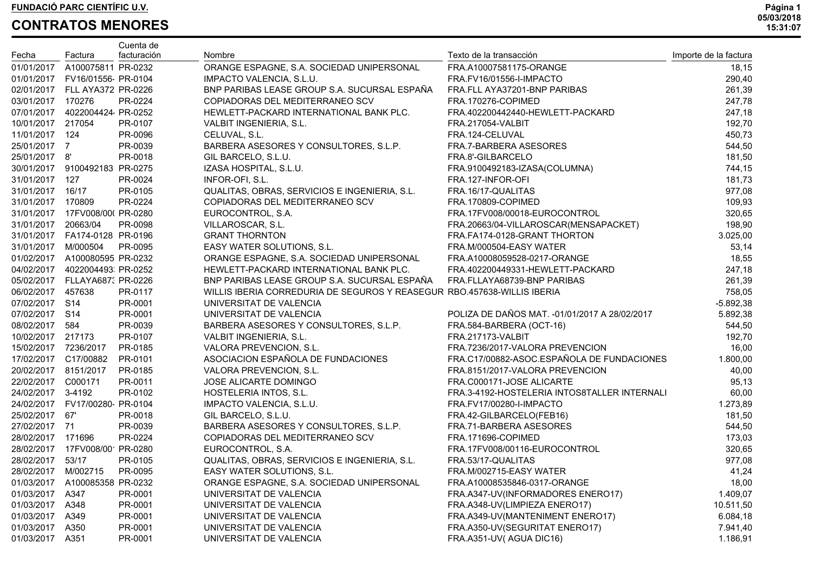|                      |                                 | Cuenta de   |                                                                         |                                                |                       |
|----------------------|---------------------------------|-------------|-------------------------------------------------------------------------|------------------------------------------------|-----------------------|
| Fecha                | Factura                         | facturación | Nombre                                                                  | Texto de la transacción                        | Importe de la factura |
|                      | 01/01/2017 A100075811 PR-0232   |             | ORANGE ESPAGNE, S.A. SOCIEDAD UNIPERSONAL                               | FRA.A10007581175-ORANGE                        | 18,15                 |
|                      | 01/01/2017  FV16/01556  PR-0104 |             | IMPACTO VALENCIA, S.L.U.                                                | FRA.FV16/01556-I-IMPACTO                       | 290,40                |
|                      | 02/01/2017 FLL AYA372 PR-0226   |             | BNP PARIBAS LEASE GROUP S.A. SUCURSAL ESPAÑA                            | FRA.FLL AYA37201-BNP PARIBAS                   | 261,39                |
| 03/01/2017 170276    |                                 | PR-0224     | COPIADORAS DEL MEDITERRANEO SCV                                         | FRA.170276-COPIMED                             | 247,78                |
|                      | 07/01/2017  4022004424  PR-0252 |             | HEWLETT-PACKARD INTERNATIONAL BANK PLC.                                 | FRA.402200442440-HEWLETT-PACKARD               | 247,18                |
| 10/01/2017 217054    |                                 | PR-0107     | VALBIT INGENIERIA, S.L.                                                 | FRA.217054-VALBIT                              | 192,70                |
| 11/01/2017 124       |                                 | PR-0096     | CELUVAL, S.L.                                                           | FRA.124-CELUVAL                                | 450,73                |
| 25/01/2017 7         |                                 | PR-0039     | BARBERA ASESORES Y CONSULTORES, S.L.P.                                  | FRA.7-BARBERA ASESORES                         | 544,50                |
| 25/01/2017 8'        |                                 | PR-0018     | GIL BARCELO, S.L.U.                                                     | FRA.8'-GILBARCELO                              | 181,50                |
|                      | 30/01/2017 9100492183 PR-0275   |             | IZASA HOSPITAL, S.L.U.                                                  | FRA.9100492183-IZASA(COLUMNA)                  | 744,15                |
| 31/01/2017 127       |                                 | PR-0024     | INFOR-OFI, S.L.                                                         | FRA.127-INFOR-OFI                              | 181,73                |
| 31/01/2017 16/17     |                                 | PR-0105     | QUALITAS, OBRAS, SERVICIOS E INGENIERIA, S.L.                           | FRA.16/17-QUALITAS                             | 977,08                |
| 31/01/2017 170809    |                                 | PR-0224     | COPIADORAS DEL MEDITERRANEO SCV                                         | FRA.170809-COPIMED                             | 109,93                |
|                      | 31/01/2017  17FV008/00( PR-0280 |             | EUROCONTROL, S.A.                                                       | FRA.17FV008/00018-EUROCONTROL                  | 320,65                |
| 31/01/2017 20663/04  |                                 | PR-0098     | VILLAROSCAR, S.L.                                                       | FRA.20663/04-VILLAROSCAR(MENSAPACKET)          | 198,90                |
|                      | 31/01/2017  FA174-0128  PR-0196 |             | <b>GRANT THORNTON</b>                                                   | FRA.FA174-0128-GRANT THORTON                   | 3.025,00              |
| 31/01/2017 M/000504  |                                 | PR-0095     | EASY WATER SOLUTIONS, S.L.                                              | FRA.M/000504-EASY WATER                        | 53,14                 |
|                      | 01/02/2017 A100080595 PR-0232   |             | ORANGE ESPAGNE, S.A. SOCIEDAD UNIPERSONAL                               | FRA.A10008059528-0217-ORANGE                   | 18,55                 |
|                      | 04/02/2017  4022004493  PR-0252 |             | HEWLETT-PACKARD INTERNATIONAL BANK PLC.                                 | FRA.402200449331-HEWLETT-PACKARD               | 247,18                |
|                      | 05/02/2017 FLLAYA687: PR-0226   |             | BNP PARIBAS LEASE GROUP S.A. SUCURSAL ESPAÑA                            | FRA.FLLAYA68739-BNP PARIBAS                    | 261,39                |
| 06/02/2017 457638    |                                 | PR-0117     | WILLIS IBERIA CORREDURIA DE SEGUROS Y REASEGUR RBO.457638-WILLIS IBERIA |                                                | 758,05                |
| 07/02/2017 S14       |                                 | PR-0001     | UNIVERSITAT DE VALENCIA                                                 |                                                | $-5.892,38$           |
| 07/02/2017 S14       |                                 | PR-0001     | UNIVERSITAT DE VALENCIA                                                 | POLIZA DE DAÑOS MAT. - 01/01/2017 A 28/02/2017 | 5.892,38              |
| 08/02/2017 584       |                                 | PR-0039     | BARBERA ASESORES Y CONSULTORES, S.L.P.                                  | FRA.584-BARBERA (OCT-16)                       | 544,50                |
| 10/02/2017 217173    |                                 | PR-0107     | VALBIT INGENIERIA, S.L.                                                 | FRA.217173-VALBIT                              | 192,70                |
|                      | 15/02/2017 7236/2017            | PR-0185     | VALORA PREVENCION, S.L.                                                 | FRA.7236/2017-VALORA PREVENCION                | 16,00                 |
|                      | 17/02/2017 C17/00882            | PR-0101     | ASOCIACION ESPAÑOLA DE FUNDACIONES                                      | FRA.C17/00882-ASOC.ESPAÑOLA DE FUNDACIONES     | 1.800,00              |
| 20/02/2017 8151/2017 |                                 | PR-0185     | VALORA PREVENCION, S.L.                                                 | FRA.8151/2017-VALORA PREVENCION                | 40,00                 |
| 22/02/2017 C000171   |                                 | PR-0011     | JOSE ALICARTE DOMINGO                                                   | FRA.C000171-JOSE ALICARTE                      | 95,13                 |
| 24/02/2017 3-4192    |                                 | PR-0102     | HOSTELERIA INTOS, S.L.                                                  | FRA.3-4192-HOSTELERIA INTOS8TALLER INTERNALI   | 60,00                 |
|                      | 24/02/2017 FV17/00280 PR-0104   |             | IMPACTO VALENCIA, S.L.U.                                                | FRA.FV17/00280-I-IMPACTO                       | 1.273,89              |
| 25/02/2017 67'       |                                 | PR-0018     | GIL BARCELO, S.L.U.                                                     | FRA.42-GILBARCELO(FEB16)                       | 181,50                |
| 27/02/2017 71        |                                 | PR-0039     | BARBERA ASESORES Y CONSULTORES, S.L.P.                                  | FRA.71-BARBERA ASESORES                        | 544,50                |
| 28/02/2017 171696    |                                 | PR-0224     | COPIADORAS DEL MEDITERRANEO SCV                                         | FRA.171696-COPIMED                             | 173,03                |
|                      | 28/02/2017 17FV008/00 PR-0280   |             | EUROCONTROL, S.A.                                                       | FRA.17FV008/00116-EUROCONTROL                  | 320,65                |
| 28/02/2017 53/17     |                                 | PR-0105     | QUALITAS, OBRAS, SERVICIOS E INGENIERIA, S.L.                           | FRA.53/17-QUALITAS                             | 977,08                |
|                      | 28/02/2017 M/002715 PR-0095     |             | EASY WATER SOLUTIONS, S.L.                                              | FRA.M/002715-EASY WATER                        | 41,24                 |
|                      | 01/03/2017 A100085358 PR-0232   |             | ORANGE ESPAGNE, S.A. SOCIEDAD UNIPERSONAL                               | FRA.A10008535846-0317-ORANGE                   | 18,00                 |
| 01/03/2017 A347      |                                 | PR-0001     | UNIVERSITAT DE VALENCIA                                                 | FRA.A347-UV(INFORMADORES ENERO17)              | 1.409,07              |
| 01/03/2017           | A348                            | PR-0001     | UNIVERSITAT DE VALENCIA                                                 | FRA.A348-UV(LIMPIEZA ENERO17)                  | 10.511,50             |
| 01/03/2017           | A349                            | PR-0001     | UNIVERSITAT DE VALENCIA                                                 | FRA.A349-UV(MANTENIMENT ENERO17)               | 6.084,18              |
| 01/03/2017           | A350                            | PR-0001     | UNIVERSITAT DE VALENCIA                                                 | FRA.A350-UV(SEGURITAT ENERO17)                 | 7.941,40              |
| 01/03/2017 A351      |                                 | PR-0001     | UNIVERSITAT DE VALENCIA                                                 | FRA.A351-UV(AGUA DIC16)                        | 1.186,91              |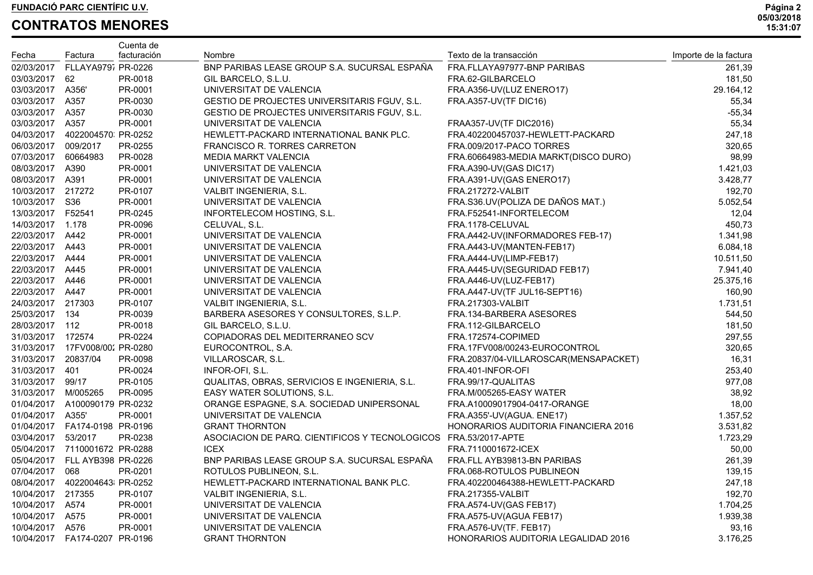|                     |                                     | Cuenta de   |                                                |                                       |                       |
|---------------------|-------------------------------------|-------------|------------------------------------------------|---------------------------------------|-----------------------|
| Fecha               | Factura                             | facturación | Nombre                                         | Texto de la transacción               | Importe de la factura |
| 02/03/2017          | FLLAYA979, PR-0226                  |             | BNP PARIBAS LEASE GROUP S.A. SUCURSAL ESPAÑA   | FRA.FLLAYA97977-BNP PARIBAS           | 261,39                |
| 03/03/2017 62       |                                     | PR-0018     | GIL BARCELO, S.L.U.                            | FRA.62-GILBARCELO                     | 181,50                |
| 03/03/2017 A356'    |                                     | PR-0001     | UNIVERSITAT DE VALENCIA                        | FRA.A356-UV(LUZ ENERO17)              | 29.164,12             |
| 03/03/2017 A357     |                                     | PR-0030     | GESTIO DE PROJECTES UNIVERSITARIS FGUV, S.L.   | FRA.A357-UV(TF DIC16)                 | 55,34                 |
| 03/03/2017 A357     |                                     | PR-0030     | GESTIO DE PROJECTES UNIVERSITARIS FGUV, S.L.   |                                       | $-55,34$              |
| 03/03/2017 A357     |                                     | PR-0001     | UNIVERSITAT DE VALENCIA                        | FRAA357-UV(TF DIC2016)                | 55,34                 |
|                     | 04/03/2017  4022004570 PR-0252      |             | HEWLETT-PACKARD INTERNATIONAL BANK PLC.        | FRA.402200457037-HEWLETT-PACKARD      | 247,18                |
| 06/03/2017 009/2017 |                                     | PR-0255     | FRANCISCO R. TORRES CARRETON                   | FRA.009/2017-PACO TORRES              | 320,65                |
| 07/03/2017 60664983 |                                     | PR-0028     | <b>MEDIA MARKT VALENCIA</b>                    | FRA.60664983-MEDIA MARKT(DISCO DURO)  | 98,99                 |
| 08/03/2017 A390     |                                     | PR-0001     | UNIVERSITAT DE VALENCIA                        | FRA.A390-UV(GAS DIC17)                | 1.421,03              |
| 08/03/2017 A391     |                                     | PR-0001     | UNIVERSITAT DE VALENCIA                        | FRA.A391-UV(GAS ENERO17)              | 3.428,77              |
| 10/03/2017 217272   |                                     | PR-0107     | VALBIT INGENIERIA, S.L.                        | <b>FRA.217272-VALBIT</b>              | 192,70                |
| 10/03/2017 S36      |                                     | PR-0001     | UNIVERSITAT DE VALENCIA                        | FRA.S36.UV(POLIZA DE DAÑOS MAT.)      | 5.052,54              |
| 13/03/2017 F52541   |                                     | PR-0245     | INFORTELECOM HOSTING, S.L.                     | FRA.F52541-INFORTELECOM               | 12,04                 |
| 14/03/2017 1.178    |                                     | PR-0096     | CELUVAL, S.L.                                  | FRA.1178-CELUVAL                      | 450,73                |
| 22/03/2017 A442     |                                     | PR-0001     | UNIVERSITAT DE VALENCIA                        | FRA.A442-UV(INFORMADORES FEB-17)      | 1.341,98              |
| 22/03/2017 A443     |                                     | PR-0001     | UNIVERSITAT DE VALENCIA                        | FRA.A443-UV(MANTEN-FEB17)             | 6.084,18              |
| 22/03/2017 A444     |                                     | PR-0001     | UNIVERSITAT DE VALENCIA                        | FRA.A444-UV(LIMP-FEB17)               | 10.511,50             |
| 22/03/2017 A445     |                                     | PR-0001     | UNIVERSITAT DE VALENCIA                        | FRA.A445-UV(SEGURIDAD FEB17)          | 7.941,40              |
| 22/03/2017 A446     |                                     | PR-0001     | UNIVERSITAT DE VALENCIA                        | FRA.A446-UV(LUZ-FEB17)                | 25.375,16             |
| 22/03/2017 A447     |                                     | PR-0001     | UNIVERSITAT DE VALENCIA                        | FRA.A447-UV(TF JUL16-SEPT16)          | 160,90                |
| 24/03/2017 217303   |                                     | PR-0107     | VALBIT INGENIERIA, S.L.                        | FRA.217303-VALBIT                     | 1.731,51              |
| 25/03/2017 134      |                                     | PR-0039     | BARBERA ASESORES Y CONSULTORES, S.L.P.         | FRA.134-BARBERA ASESORES              | 544,50                |
| 28/03/2017 112      |                                     | PR-0018     | GIL BARCELO, S.L.U.                            | FRA.112-GILBARCELO                    | 181,50                |
| 31/03/2017 172574   |                                     | PR-0224     | COPIADORAS DEL MEDITERRANEO SCV                | FRA.172574-COPIMED                    | 297,55                |
|                     | 31/03/2017  17FV008/002 PR-0280     |             | EUROCONTROL, S.A.                              | FRA.17FV008/00243-EUROCONTROL         | 320,65                |
| 31/03/2017 20837/04 |                                     | PR-0098     | VILLAROSCAR, S.L.                              | FRA.20837/04-VILLAROSCAR(MENSAPACKET) | 16,31                 |
| 31/03/2017 401      |                                     | PR-0024     | INFOR-OFI, S.L.                                | FRA.401-INFOR-OFI                     | 253,40                |
| 31/03/2017 99/17    |                                     | PR-0105     | QUALITAS, OBRAS, SERVICIOS E INGENIERIA, S.L.  | FRA.99/17-QUALITAS                    | 977,08                |
| 31/03/2017 M/005265 |                                     | PR-0095     | EASY WATER SOLUTIONS, S.L.                     | FRA.M/005265-EASY WATER               | 38,92                 |
|                     | 01/04/2017 A100090179 PR-0232       |             | ORANGE ESPAGNE, S.A. SOCIEDAD UNIPERSONAL      | FRA.A10009017904-0417-ORANGE          | 18,00                 |
| 01/04/2017 A355'    |                                     | PR-0001     | UNIVERSITAT DE VALENCIA                        | FRA.A355'-UV(AGUA. ENE17)             | 1.357,52              |
|                     | 01/04/2017    FA174-0198    PR-0196 |             | <b>GRANT THORNTON</b>                          | HONORARIOS AUDITORIA FINANCIERA 2016  | 3.531,82              |
| 03/04/2017 53/2017  |                                     | PR-0238     | ASOCIACION DE PARQ. CIENTIFICOS Y TECNOLOGICOS | FRA.53/2017-APTE                      | 1.723,29              |
|                     | 05/04/2017 7110001672 PR-0288       |             | <b>ICEX</b>                                    | FRA.7110001672-ICEX                   | 50,00                 |
|                     | 05/04/2017 FLL AYB398 PR-0226       |             | BNP PARIBAS LEASE GROUP S.A. SUCURSAL ESPAÑA   | FRA.FLL AYB39813-BN PARIBAS           | 261,39                |
| 07/04/2017          | 068                                 | PR-0201     | ROTULOS PUBLINEON, S.L.                        | FRA.068-ROTULOS PUBLINEON             | 139,15                |
| 08/04/2017          | 4022004643 PR-0252                  |             | HEWLETT-PACKARD INTERNATIONAL BANK PLC.        | FRA.402200464388-HEWLETT-PACKARD      | 247,18                |
| 10/04/2017          | 217355                              | PR-0107     | VALBIT INGENIERIA, S.L.                        | FRA.217355-VALBIT                     | 192,70                |
| 10/04/2017          | A574                                | PR-0001     | UNIVERSITAT DE VALENCIA                        | FRA.A574-UV(GAS FEB17)                | 1.704,25              |
| 10/04/2017          | A575                                | PR-0001     | UNIVERSITAT DE VALENCIA                        | FRA.A575-UV(AGUA FEB17)               | 1.939,38              |
| 10/04/2017          | A576                                | PR-0001     | UNIVERSITAT DE VALENCIA                        | FRA.A576-UV(TF. FEB17)                | 93,16                 |
| 10/04/2017          | FA174-0207 PR-0196                  |             | <b>GRANT THORNTON</b>                          | HONORARIOS AUDITORIA LEGALIDAD 2016   | 3.176,25              |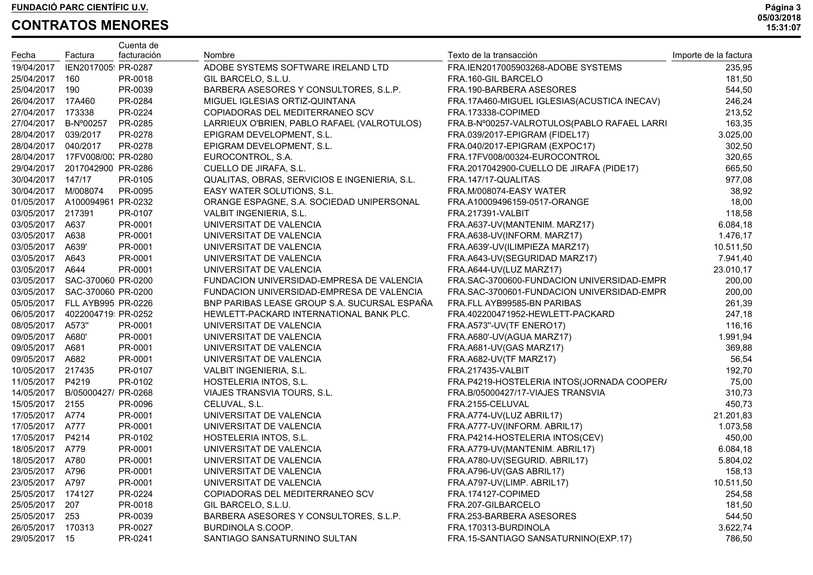|                     |                                 | Cuenta de   |                                               |                                             |                       |
|---------------------|---------------------------------|-------------|-----------------------------------------------|---------------------------------------------|-----------------------|
| Fecha               | Factura                         | facturación | Nombre                                        | Texto de la transacción                     | Importe de la factura |
| 19/04/2017          | IEN2017005 PR-0287              |             | ADOBE SYSTEMS SOFTWARE IRELAND LTD            | FRA.IEN2017005903268-ADOBE SYSTEMS          | 235,95                |
| 25/04/2017          | 160                             | PR-0018     | GIL BARCELO, S.L.U.                           | FRA.160-GIL BARCELO                         | 181,50                |
| 25/04/2017          | 190                             | PR-0039     | BARBERA ASESORES Y CONSULTORES, S.L.P.        | FRA.190-BARBERA ASESORES                    | 544,50                |
| 26/04/2017          | 17A460                          | PR-0284     | MIGUEL IGLESIAS ORTIZ-QUINTANA                | FRA.17A460-MIGUEL IGLESIAS(ACUSTICA INECAV) | 246,24                |
| 27/04/2017          | 173338                          | PR-0224     | COPIADORAS DEL MEDITERRANEO SCV               | FRA.173338-COPIMED                          | 213,52                |
| 27/04/2017          | B-Nº00257                       | PR-0285     | LARRIEUX O'BRIEN, PABLO RAFAEL (VALROTULOS)   | FRA.B-N°00257-VALROTULOS(PABLO RAFAEL LARRI | 163,35                |
| 28/04/2017 039/2017 |                                 | PR-0278     | EPIGRAM DEVELOPMENT, S.L.                     | FRA.039/2017-EPIGRAM (FIDEL17)              | 3.025,00              |
| 28/04/2017          | 040/2017                        | PR-0278     | EPIGRAM DEVELOPMENT, S.L.                     | FRA.040/2017-EPIGRAM (EXPOC17)              | 302,50                |
|                     | 28/04/2017  17FV008/00. PR-0280 |             | EUROCONTROL, S.A.                             | FRA.17FV008/00324-EUROCONTROL               | 320,65                |
| 29/04/2017          | 2017042900 PR-0286              |             | CUELLO DE JIRAFA, S.L.                        | FRA.2017042900-CUELLO DE JIRAFA (PIDE17)    | 665,50                |
| 30/04/2017 147/17   |                                 | PR-0105     | QUALITAS, OBRAS, SERVICIOS E INGENIERIA, S.L. | FRA.147/17-QUALITAS                         | 977,08                |
| 30/04/2017 M/008074 |                                 | PR-0095     | EASY WATER SOLUTIONS, S.L.                    | FRA.M/008074-EASY WATER                     | 38,92                 |
|                     | 01/05/2017 A100094961 PR-0232   |             | ORANGE ESPAGNE, S.A. SOCIEDAD UNIPERSONAL     | FRA.A10009496159-0517-ORANGE                | 18,00                 |
| 03/05/2017 217391   |                                 | PR-0107     | VALBIT INGENIERIA, S.L.                       | <b>FRA.217391-VALBIT</b>                    | 118,58                |
| 03/05/2017 A637     |                                 | PR-0001     | UNIVERSITAT DE VALENCIA                       | FRA.A637-UV(MANTENIM. MARZ17)               | 6.084,18              |
| 03/05/2017          | A638                            | PR-0001     | UNIVERSITAT DE VALENCIA                       | FRA.A638-UV(INFORM. MARZ17)                 | 1.476,17              |
| 03/05/2017          | A639'                           | PR-0001     | UNIVERSITAT DE VALENCIA                       | FRA.A639'-UV(ILIMPIEZA MARZ17)              | 10.511,50             |
| 03/05/2017          | A643                            | PR-0001     | UNIVERSITAT DE VALENCIA                       | FRA.A643-UV(SEGURIDAD MARZ17)               | 7.941,40              |
| 03/05/2017 A644     |                                 | PR-0001     | UNIVERSITAT DE VALENCIA                       | FRA.A644-UV(LUZ MARZ17)                     | 23.010,17             |
| 03/05/2017          | SAC-370060 PR-0200              |             | FUNDACION UNIVERSIDAD-EMPRESA DE VALENCIA     | FRA.SAC-3700600-FUNDACION UNIVERSIDAD-EMPR  | 200,00                |
| 03/05/2017          | SAC-370060 PR-0200              |             | FUNDACION UNIVERSIDAD-EMPRESA DE VALENCIA     | FRA.SAC-3700601-FUNDACION UNIVERSIDAD-EMPR  | 200,00                |
| 05/05/2017          | FLL AYB995 PR-0226              |             | BNP PARIBAS LEASE GROUP S.A. SUCURSAL ESPAÑA  | FRA.FLL AYB99585-BN PARIBAS                 | 261,39                |
| 06/05/2017          | 4022004719 PR-0252              |             | HEWLETT-PACKARD INTERNATIONAL BANK PLC.       | FRA.402200471952-HEWLETT-PACKARD            | 247,18                |
| 08/05/2017          | A573"                           | PR-0001     | UNIVERSITAT DE VALENCIA                       | FRA.A573"-UV(TF ENERO17)                    | 116,16                |
| 09/05/2017          | A680'                           | PR-0001     | UNIVERSITAT DE VALENCIA                       | FRA.A680'-UV(AGUA MARZ17)                   | 1.991,94              |
| 09/05/2017 A681     |                                 | PR-0001     | UNIVERSITAT DE VALENCIA                       | FRA.A681-UV(GAS MARZ17)                     | 369,88                |
| 09/05/2017 A682     |                                 | PR-0001     | UNIVERSITAT DE VALENCIA                       | FRA.A682-UV(TF MARZ17)                      | 56,54                 |
| 10/05/2017 217435   |                                 | PR-0107     | VALBIT INGENIERIA, S.L.                       | FRA.217435-VALBIT                           | 192,70                |
| 11/05/2017 P4219    |                                 | PR-0102     | HOSTELERIA INTOS, S.L.                        | FRA.P4219-HOSTELERIA INTOS(JORNADA COOPER/  | 75,00                 |
| 14/05/2017          | B/05000427/ PR-0268             |             | VIAJES TRANSVIA TOURS, S.L.                   | FRA.B/05000427/17-VIAJES TRANSVIA           | 310,73                |
| 15/05/2017 2155     |                                 | PR-0096     | CELUVAL, S.L.                                 | FRA.2155-CELUVAL                            | 450,73                |
| 17/05/2017 A774     |                                 | PR-0001     | UNIVERSITAT DE VALENCIA                       | FRA.A774-UV(LUZ ABRIL17)                    | 21.201,83             |
| 17/05/2017 A777     |                                 | PR-0001     | UNIVERSITAT DE VALENCIA                       | FRA.A777-UV(INFORM. ABRIL17)                | 1.073,58              |
| 17/05/2017 P4214    |                                 | PR-0102     | HOSTELERIA INTOS, S.L.                        | FRA.P4214-HOSTELERIA INTOS(CEV)             | 450,00                |
| 18/05/2017 A779     |                                 | PR-0001     | UNIVERSITAT DE VALENCIA                       | FRA.A779-UV(MANTENIM. ABRIL17)              | 6.084,18              |
| 18/05/2017 A780     |                                 | PR-0001     | UNIVERSITAT DE VALENCIA                       | FRA.A780-UV(SEGURID. ABRIL17)               | 5.804,02              |
| 23/05/2017 A796     |                                 | PR-0001     | UNIVERSITAT DE VALENCIA                       | FRA.A796-UV(GAS ABRIL17)                    | 158,13                |
| 23/05/2017          | A797                            | PR-0001     | UNIVERSITAT DE VALENCIA                       | FRA.A797-UV(LIMP. ABRIL17)                  | 10.511,50             |
| 25/05/2017          | 174127                          | PR-0224     | COPIADORAS DEL MEDITERRANEO SCV               | FRA.174127-COPIMED                          | 254,58                |
| 25/05/2017          | 207                             | PR-0018     | GIL BARCELO, S.L.U.                           | FRA.207-GILBARCELO                          | 181,50                |
| 25/05/2017          | 253                             | PR-0039     | BARBERA ASESORES Y CONSULTORES, S.L.P.        | FRA.253-BARBERA ASESORES                    | 544,50                |
| 26/05/2017          | 170313                          | PR-0027     | BURDINOLA S.COOP.                             | FRA.170313-BURDINOLA                        | 3.622,74              |
| 29/05/2017          | 15                              | PR-0241     | SANTIAGO SANSATURNINO SULTAN                  | FRA.15-SANTIAGO SANSATURNINO(EXP.17)        | 786,50                |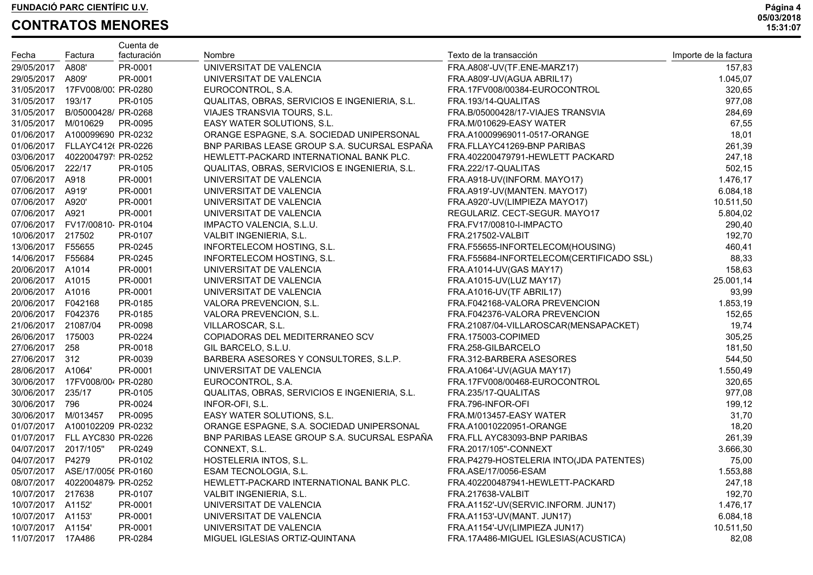|                       |                                 | Cuenta de   |                                               |                                          |                       |
|-----------------------|---------------------------------|-------------|-----------------------------------------------|------------------------------------------|-----------------------|
| Fecha                 | Factura                         | facturación | Nombre                                        | Texto de la transacción                  | Importe de la factura |
| 29/05/2017            | A808'                           | PR-0001     | UNIVERSITAT DE VALENCIA                       | FRA.A808'-UV(TF.ENE-MARZ17)              | 157,83                |
| 29/05/2017 A809'      |                                 | PR-0001     | UNIVERSITAT DE VALENCIA                       | FRA.A809'-UV(AGUA ABRIL17)               | 1.045,07              |
|                       | 31/05/2017  17FV008/00: PR-0280 |             | EUROCONTROL, S.A.                             | FRA.17FV008/00384-EUROCONTROL            | 320,65                |
| 31/05/2017 193/17     |                                 | PR-0105     | QUALITAS, OBRAS, SERVICIOS E INGENIERIA, S.L. | FRA.193/14-QUALITAS                      | 977,08                |
|                       | 31/05/2017 B/05000428/ PR-0268  |             | VIAJES TRANSVIA TOURS, S.L.                   | FRA.B/05000428/17-VIAJES TRANSVIA        | 284,69                |
| 31/05/2017 M/010629   |                                 | PR-0095     | EASY WATER SOLUTIONS, S.L.                    | FRA.M/010629-EASY WATER                  | 67,55                 |
|                       | 01/06/2017 A100099690 PR-0232   |             | ORANGE ESPAGNE, S.A. SOCIEDAD UNIPERSONAL     | FRA.A10009969011-0517-ORANGE             | 18,01                 |
|                       | 01/06/2017 FLLAYC412( PR-0226   |             | BNP PARIBAS LEASE GROUP S.A. SUCURSAL ESPAÑA  | FRA.FLLAYC41269-BNP PARIBAS              | 261,39                |
|                       | 03/06/2017  4022004797  PR-0252 |             | HEWLETT-PACKARD INTERNATIONAL BANK PLC.       | FRA.402200479791-HEWLETT PACKARD         | 247,18                |
| 05/06/2017 222/17     |                                 | PR-0105     | QUALITAS, OBRAS, SERVICIOS E INGENIERIA, S.L. | FRA.222/17-QUALITAS                      | 502,15                |
| 07/06/2017 A918       |                                 | PR-0001     | UNIVERSITAT DE VALENCIA                       | FRA.A918-UV(INFORM. MAYO17)              | 1.476,17              |
| 07/06/2017 A919'      |                                 | PR-0001     | UNIVERSITAT DE VALENCIA                       | FRA.A919'-UV(MANTEN. MAYO17)             | 6.084,18              |
| 07/06/2017 A920'      |                                 | PR-0001     | UNIVERSITAT DE VALENCIA                       | FRA.A920'-UV(LIMPIEZA MAYO17)            | 10.511,50             |
| 07/06/2017 A921       |                                 | PR-0001     | UNIVERSITAT DE VALENCIA                       | REGULARIZ. CECT-SEGUR. MAYO17            | 5.804,02              |
|                       | 07/06/2017 FV17/00810 PR-0104   |             | IMPACTO VALENCIA, S.L.U.                      | FRA.FV17/00810-I-IMPACTO                 | 290,40                |
| 10/06/2017 217502     |                                 | PR-0107     | VALBIT INGENIERIA, S.L.                       | FRA.217502-VALBIT                        | 192,70                |
| 13/06/2017 F55655     |                                 | PR-0245     | INFORTELECOM HOSTING, S.L.                    | FRA.F55655-INFORTELECOM(HOUSING)         | 460,41                |
| 14/06/2017 F55684     |                                 | PR-0245     | INFORTELECOM HOSTING, S.L.                    | FRA.F55684-INFORTELECOM(CERTIFICADO SSL) | 88,33                 |
| 20/06/2017 A1014      |                                 | PR-0001     | UNIVERSITAT DE VALENCIA                       | FRA.A1014-UV(GAS MAY17)                  | 158,63                |
| 20/06/2017 A1015      |                                 | PR-0001     | UNIVERSITAT DE VALENCIA                       | FRA.A1015-UV(LUZ MAY17)                  | 25.001,14             |
| 20/06/2017 A1016      |                                 | PR-0001     | UNIVERSITAT DE VALENCIA                       | FRA.A1016-UV(TF ABRIL17)                 | 93,99                 |
| 20/06/2017    F042168 |                                 | PR-0185     | VALORA PREVENCION, S.L.                       | FRA.F042168-VALORA PREVENCION            | 1.853,19              |
| 20/06/2017    F042376 |                                 | PR-0185     | VALORA PREVENCION, S.L.                       | FRA.F042376-VALORA PREVENCION            | 152,65                |
| 21/06/2017 21087/04   |                                 | PR-0098     | VILLAROSCAR, S.L.                             | FRA.21087/04-VILLAROSCAR(MENSAPACKET)    | 19,74                 |
| 26/06/2017 175003     |                                 | PR-0224     | COPIADORAS DEL MEDITERRANEO SCV               | FRA.175003-COPIMED                       | 305,25                |
| 27/06/2017 258        |                                 | PR-0018     | GIL BARCELO, S.L.U.                           | FRA.258-GILBARCELO                       | 181,50                |
| 27/06/2017 312        |                                 | PR-0039     | BARBERA ASESORES Y CONSULTORES, S.L.P.        | FRA.312-BARBERA ASESORES                 | 544,50                |
| 28/06/2017 A1064'     |                                 | PR-0001     | UNIVERSITAT DE VALENCIA                       | FRA.A1064'-UV(AGUA MAY17)                | 1.550,49              |
|                       | 30/06/2017  17FV008/00 PR-0280  |             | EUROCONTROL, S.A.                             | FRA.17FV008/00468-EUROCONTROL            | 320,65                |
| 30/06/2017 235/17     |                                 | PR-0105     | QUALITAS, OBRAS, SERVICIOS E INGENIERIA, S.L. | FRA.235/17-QUALITAS                      | 977,08                |
| 30/06/2017 796        |                                 | PR-0024     | INFOR-OFI, S.L.                               | FRA.796-INFOR-OFI                        | 199,12                |
| 30/06/2017 M/013457   |                                 | PR-0095     | EASY WATER SOLUTIONS, S.L.                    | FRA.M/013457-EASY WATER                  | 31,70                 |
|                       | 01/07/2017 A100102209 PR-0232   |             | ORANGE ESPAGNE, S.A. SOCIEDAD UNIPERSONAL     | FRA.A10010220951-ORANGE                  | 18,20                 |
|                       | 01/07/2017 FLL AYC830 PR-0226   |             | BNP PARIBAS LEASE GROUP S.A. SUCURSAL ESPAÑA  | FRA.FLL AYC83093-BNP PARIBAS             | 261,39                |
| 04/07/2017 2017/105"  |                                 | PR-0249     | CONNEXT, S.L.                                 | FRA.2017/105"-CONNEXT                    | 3.666,30              |
| 04/07/2017 P4279      |                                 | PR-0102     | HOSTELERIA INTOS, S.L.                        | FRA.P4279-HOSTELERIA INTO(JDA PATENTES)  | 75,00                 |
|                       | 05/07/2017 ASE/17/0056 PR-0160  |             | ESAM TECNOLOGIA, S.L.                         | FRA.ASE/17/0056-ESAM                     | 1.553,88              |
| 08/07/2017            | 4022004879 PR-0252              |             | HEWLETT-PACKARD INTERNATIONAL BANK PLC.       | FRA.402200487941-HEWLETT-PACKARD         | 247,18                |
| 10/07/2017 217638     |                                 | PR-0107     | VALBIT INGENIERIA, S.L.                       | FRA.217638-VALBIT                        | 192,70                |
| 10/07/2017 A1152'     |                                 | PR-0001     | UNIVERSITAT DE VALENCIA                       | FRA.A1152'-UV(SERVIC.INFORM. JUN17)      | 1.476,17              |
| 10/07/2017            | A1153'                          | PR-0001     | UNIVERSITAT DE VALENCIA                       | FRA.A1153'-UV(MANT. JUN17)               | 6.084,18              |
| 10/07/2017            | A1154'                          | PR-0001     | UNIVERSITAT DE VALENCIA                       | FRA.A1154'-UV(LIMPIEZA JUN17)            | 10.511,50             |
| 11/07/2017 17A486     |                                 | PR-0284     | MIGUEL IGLESIAS ORTIZ-QUINTANA                | FRA.17A486-MIGUEL IGLESIAS(ACUSTICA)     | 82,08                 |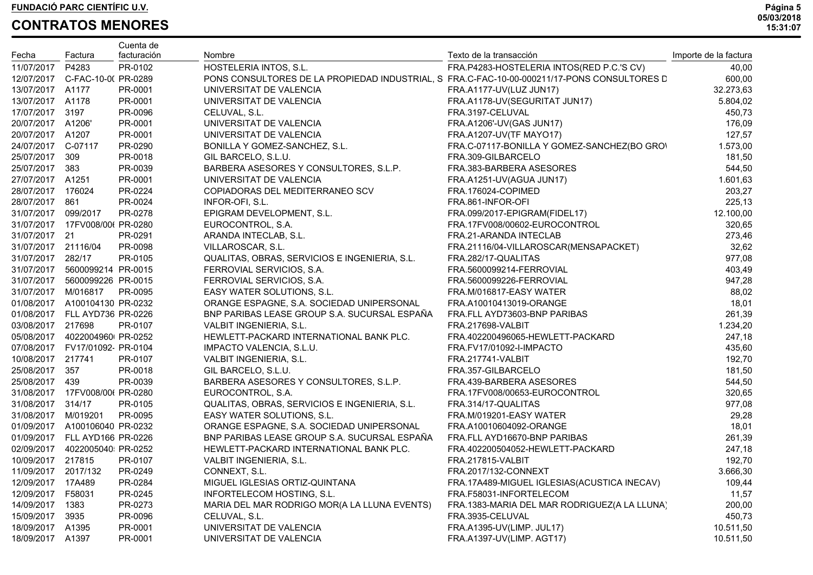|                     |                                   | Cuenta de   |                                                                                             |                                              |                       |
|---------------------|-----------------------------------|-------------|---------------------------------------------------------------------------------------------|----------------------------------------------|-----------------------|
| Fecha               | Factura                           | facturación | Nombre                                                                                      | Texto de la transacción                      | Importe de la factura |
| 11/07/2017          | P4283                             | PR-0102     | HOSTELERIA INTOS, S.L.                                                                      | FRA.P4283-HOSTELERIA INTOS(RED P.C.'S CV)    | 40,00                 |
|                     | 12/07/2017 C-FAC-10-0(PR-0289     |             | PONS CONSULTORES DE LA PROPIEDAD INDUSTRIAL, S FRA.C-FAC-10-00-000211/17-PONS CONSULTORES D |                                              | 600,00                |
| 13/07/2017 A1177    |                                   | PR-0001     | UNIVERSITAT DE VALENCIA                                                                     | FRA.A1177-UV(LUZ JUN17)                      | 32.273,63             |
| 13/07/2017 A1178    |                                   | PR-0001     | UNIVERSITAT DE VALENCIA                                                                     | FRA.A1178-UV(SEGURITAT JUN17)                | 5.804,02              |
| 17/07/2017 3197     |                                   | PR-0096     | CELUVAL, S.L.                                                                               | FRA.3197-CELUVAL                             | 450,73                |
| 20/07/2017 A1206'   |                                   | PR-0001     | UNIVERSITAT DE VALENCIA                                                                     | FRA.A1206'-UV(GAS JUN17)                     | 176,09                |
| 20/07/2017 A1207    |                                   | PR-0001     | UNIVERSITAT DE VALENCIA                                                                     | FRA.A1207-UV(TF MAYO17)                      | 127,57                |
| 24/07/2017 C-07117  |                                   | PR-0290     | BONILLA Y GOMEZ-SANCHEZ, S.L.                                                               | FRA.C-07117-BONILLA Y GOMEZ-SANCHEZ(BO GRO)  | 1.573,00              |
| 25/07/2017 309      |                                   | PR-0018     | GIL BARCELO, S.L.U.                                                                         | FRA.309-GILBARCELO                           | 181,50                |
| 25/07/2017 383      |                                   | PR-0039     | BARBERA ASESORES Y CONSULTORES, S.L.P.                                                      | FRA.383-BARBERA ASESORES                     | 544,50                |
| 27/07/2017 A1251    |                                   | PR-0001     | UNIVERSITAT DE VALENCIA                                                                     | FRA.A1251-UV(AGUA JUN17)                     | 1.601,63              |
| 28/07/2017 176024   |                                   | PR-0224     | COPIADORAS DEL MEDITERRANEO SCV                                                             | FRA.176024-COPIMED                           | 203,27                |
| 28/07/2017 861      |                                   | PR-0024     | INFOR-OFI, S.L.                                                                             | FRA.861-INFOR-OFI                            | 225,13                |
| 31/07/2017 099/2017 |                                   | PR-0278     | EPIGRAM DEVELOPMENT, S.L.                                                                   | FRA.099/2017-EPIGRAM(FIDEL17)                | 12.100,00             |
|                     | 31/07/2017 17FV008/00( PR-0280    |             | EUROCONTROL, S.A.                                                                           | FRA.17FV008/00602-EUROCONTROL                | 320,65                |
| 31/07/2017 21       |                                   | PR-0291     | ARANDA INTECLAB, S.L.                                                                       | FRA.21-ARANDA INTECLAB                       | 273,46                |
| 31/07/2017 21116/04 |                                   | PR-0098     | VILLAROSCAR, S.L.                                                                           | FRA.21116/04-VILLAROSCAR(MENSAPACKET)        | 32,62                 |
| 31/07/2017 282/17   |                                   | PR-0105     | QUALITAS, OBRAS, SERVICIOS E INGENIERIA, S.L.                                               | FRA.282/17-QUALITAS                          | 977,08                |
|                     | 31/07/2017 5600099214 PR-0015     |             | FERROVIAL SERVICIOS, S.A.                                                                   | FRA.5600099214-FERROVIAL                     | 403,49                |
|                     | 31/07/2017 5600099226 PR-0015     |             | FERROVIAL SERVICIOS, S.A.                                                                   | FRA.5600099226-FERROVIAL                     | 947,28                |
| 31/07/2017 M/016817 |                                   | PR-0095     | EASY WATER SOLUTIONS, S.L.                                                                  | FRA.M/016817-EASY WATER                      | 88,02                 |
|                     | 01/08/2017 A100104130 PR-0232     |             | ORANGE ESPAGNE, S.A. SOCIEDAD UNIPERSONAL                                                   | FRA.A10010413019-ORANGE                      | 18,01                 |
|                     | 01/08/2017 FLL AYD736 PR-0226     |             | BNP PARIBAS LEASE GROUP S.A. SUCURSAL ESPAÑA                                                | FRA.FLL AYD73603-BNP PARIBAS                 | 261,39                |
| 03/08/2017 217698   |                                   | PR-0107     | VALBIT INGENIERIA, S.L.                                                                     | <b>FRA.217698-VALBIT</b>                     | 1.234,20              |
|                     | 05/08/2017  4022004960 PR-0252    |             | HEWLETT-PACKARD INTERNATIONAL BANK PLC.                                                     | FRA.402200496065-HEWLETT-PACKARD             | 247,18                |
|                     | 07/08/2017   FV17/01092   PR-0104 |             | IMPACTO VALENCIA, S.L.U.                                                                    | FRA.FV17/01092-I-IMPACTO                     | 435,60                |
| 10/08/2017 217741   |                                   | PR-0107     | VALBIT INGENIERIA, S.L.                                                                     | FRA.217741-VALBIT                            | 192,70                |
| 25/08/2017 357      |                                   | PR-0018     | GIL BARCELO, S.L.U.                                                                         | FRA.357-GILBARCELO                           | 181,50                |
| 25/08/2017 439      |                                   | PR-0039     | BARBERA ASESORES Y CONSULTORES, S.L.P.                                                      | FRA.439-BARBERA ASESORES                     | 544,50                |
|                     | 31/08/2017  17FV008/00( PR-0280   |             | EUROCONTROL, S.A.                                                                           | FRA.17FV008/00653-EUROCONTROL                | 320,65                |
| 31/08/2017 314/17   |                                   | PR-0105     | QUALITAS, OBRAS, SERVICIOS E INGENIERIA, S.L.                                               | FRA.314/17-QUALITAS                          | 977,08                |
| 31/08/2017 M/019201 |                                   | PR-0095     | EASY WATER SOLUTIONS, S.L.                                                                  | FRA.M/019201-EASY WATER                      | 29,28                 |
|                     | 01/09/2017 A100106040 PR-0232     |             | ORANGE ESPAGNE, S.A. SOCIEDAD UNIPERSONAL                                                   | FRA.A10010604092-ORANGE                      | 18,01                 |
|                     | 01/09/2017 FLL AYD166 PR-0226     |             | BNP PARIBAS LEASE GROUP S.A. SUCURSAL ESPAÑA                                                | FRA.FLL AYD16670-BNP PARIBAS                 | 261,39                |
|                     | 02/09/2017  4022005040 PR-0252    |             | HEWLETT-PACKARD INTERNATIONAL BANK PLC.                                                     | FRA.402200504052-HEWLETT-PACKARD             | 247,18                |
| 10/09/2017 217815   |                                   | PR-0107     | VALBIT INGENIERIA, S.L.                                                                     | <b>FRA.217815-VALBIT</b>                     | 192,70                |
|                     | 11/09/2017 2017/132               | PR-0249     | CONNEXT, S.L.                                                                               | FRA.2017/132-CONNEXT                         | 3.666,30              |
| 12/09/2017 17A489   |                                   | PR-0284     | MIGUEL IGLESIAS ORTIZ-QUINTANA                                                              | FRA.17A489-MIGUEL IGLESIAS(ACUSTICA INECAV)  | 109,44                |
| 12/09/2017          | F58031                            | PR-0245     | INFORTELECOM HOSTING, S.L.                                                                  | FRA.F58031-INFORTELECOM                      | 11,57                 |
| 14/09/2017          | 1383                              | PR-0273     | MARIA DEL MAR RODRIGO MOR(A LA LLUNA EVENTS)                                                | FRA.1383-MARIA DEL MAR RODRIGUEZ(A LA LLUNA) | 200,00                |
| 15/09/2017          | 3935                              | PR-0096     | CELUVAL, S.L.                                                                               | FRA.3935-CELUVAL                             | 450,73                |
| 18/09/2017          | A1395                             | PR-0001     | UNIVERSITAT DE VALENCIA                                                                     | FRA.A1395-UV(LIMP. JUL17)                    | 10.511,50             |
| 18/09/2017          | A1397                             | PR-0001     | UNIVERSITAT DE VALENCIA                                                                     | FRA.A1397-UV(LIMP. AGT17)                    | 10.511,50             |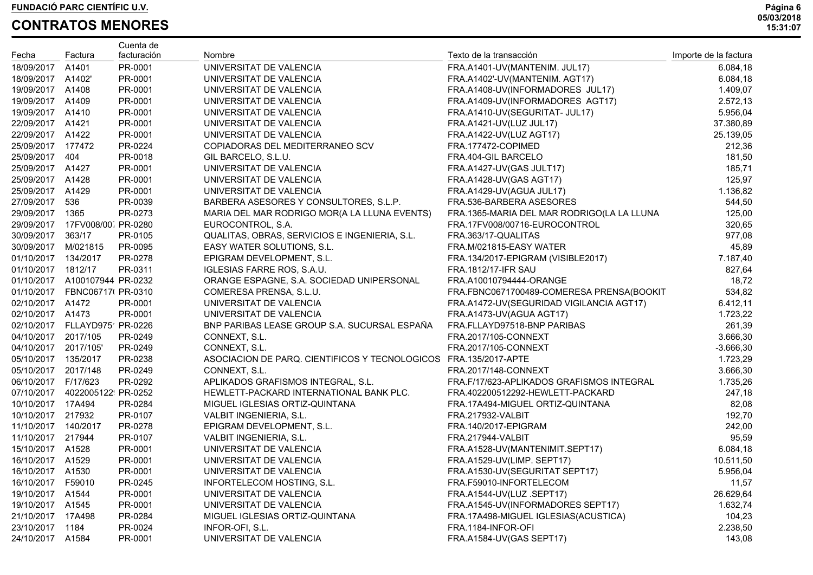|                        |                                  | Cuenta de   | Nombre                                                           | Texto de la transacción                    |                       |
|------------------------|----------------------------------|-------------|------------------------------------------------------------------|--------------------------------------------|-----------------------|
| Fecha                  | Factura                          | facturación |                                                                  |                                            | Importe de la factura |
| 18/09/2017 A1401       |                                  | PR-0001     | UNIVERSITAT DE VALENCIA                                          | FRA.A1401-UV(MANTENIM. JUL17)              | 6.084,18              |
| 18/09/2017 A1402'      |                                  | PR-0001     | UNIVERSITAT DE VALENCIA                                          | FRA.A1402'-UV(MANTENIM. AGT17)             | 6.084,18              |
| 19/09/2017 A1408       |                                  | PR-0001     | UNIVERSITAT DE VALENCIA                                          | FRA.A1408-UV(INFORMADORES JUL17)           | 1.409,07              |
| 19/09/2017 A1409       |                                  | PR-0001     | UNIVERSITAT DE VALENCIA                                          | FRA.A1409-UV(INFORMADORES AGT17)           | 2.572,13              |
| 19/09/2017 A1410       |                                  | PR-0001     | UNIVERSITAT DE VALENCIA                                          | FRA.A1410-UV(SEGURITAT- JUL17)             | 5.956,04              |
| 22/09/2017 A1421       |                                  | PR-0001     | UNIVERSITAT DE VALENCIA                                          | FRA.A1421-UV(LUZ JUL17)                    | 37.380,89             |
| 22/09/2017 A1422       |                                  | PR-0001     | UNIVERSITAT DE VALENCIA                                          | FRA.A1422-UV(LUZ AGT17)                    | 25.139,05             |
| 25/09/2017 177472      |                                  | PR-0224     | COPIADORAS DEL MEDITERRANEO SCV                                  | FRA.177472-COPIMED                         | 212,36                |
| 25/09/2017 404         |                                  | PR-0018     | GIL BARCELO, S.L.U.                                              | FRA.404-GIL BARCELO                        | 181,50                |
| 25/09/2017 A1427       |                                  | PR-0001     | UNIVERSITAT DE VALENCIA                                          | FRA.A1427-UV(GAS JULT17)                   | 185,71                |
| 25/09/2017 A1428       |                                  | PR-0001     | UNIVERSITAT DE VALENCIA                                          | FRA.A1428-UV(GAS AGT17)                    | 125,97                |
| 25/09/2017 A1429       |                                  | PR-0001     | UNIVERSITAT DE VALENCIA                                          | FRA.A1429-UV(AGUA JUL17)                   | 1.136,82              |
| 27/09/2017 536         |                                  | PR-0039     | BARBERA ASESORES Y CONSULTORES, S.L.P.                           | FRA.536-BARBERA ASESORES                   | 544,50                |
| 29/09/2017 1365        |                                  | PR-0273     | MARIA DEL MAR RODRIGO MOR(A LA LLUNA EVENTS)                     | FRA.1365-MARIA DEL MAR RODRIGO(LA LA LLUNA | 125,00                |
|                        | 29/09/2017  17FV008/00 PR-0280   |             | EUROCONTROL, S.A.                                                | FRA.17FV008/00716-EUROCONTROL              | 320,65                |
| 30/09/2017 363/17      |                                  | PR-0105     | QUALITAS, OBRAS, SERVICIOS E INGENIERIA, S.L.                    | FRA.363/17-QUALITAS                        | 977,08                |
| 30/09/2017 M/021815    |                                  | PR-0095     | EASY WATER SOLUTIONS, S.L.                                       | FRA.M/021815-EASY WATER                    | 45,89                 |
| 01/10/2017 134/2017    |                                  | PR-0278     | EPIGRAM DEVELOPMENT, S.L.                                        | FRA.134/2017-EPIGRAM (VISIBLE2017)         | 7.187,40              |
| 01/10/2017 1812/17     |                                  | PR-0311     | IGLESIAS FARRE ROS, S.A.U.                                       | <b>FRA.1812/17-IFR SAU</b>                 | 827,64                |
|                        | 01/10/2017 A100107944 PR-0232    |             | ORANGE ESPAGNE, S.A. SOCIEDAD UNIPERSONAL                        | FRA.A10010794444-ORANGE                    | 18,72                 |
|                        | 01/10/2017    FBNC06717( PR-0310 |             | COMERESA PRENSA, S.L.U.                                          | FRA.FBNC0671700489-COMERESA PRENSA(BOOKIT  | 534,82                |
| 02/10/2017 A1472       |                                  | PR-0001     | UNIVERSITAT DE VALENCIA                                          | FRA.A1472-UV(SEGURIDAD VIGILANCIA AGT17)   | 6.412,11              |
| 02/10/2017 A1473       |                                  | PR-0001     | UNIVERSITAT DE VALENCIA                                          | FRA.A1473-UV(AGUA AGT17)                   | 1.723,22              |
|                        | 02/10/2017 FLLAYD975 PR-0226     |             | BNP PARIBAS LEASE GROUP S.A. SUCURSAL ESPAÑA                     | FRA.FLLAYD97518-BNP PARIBAS                | 261,39                |
| 04/10/2017 2017/105    |                                  | PR-0249     | CONNEXT, S.L.                                                    | FRA.2017/105-CONNEXT                       | 3.666,30              |
| 04/10/2017 2017/105'   |                                  | PR-0249     | CONNEXT, S.L.                                                    | FRA.2017/105-CONNEXT                       | $-3.666, 30$          |
| 05/10/2017 135/2017    |                                  | PR-0238     | ASOCIACION DE PARQ. CIENTIFICOS Y TECNOLOGICOS FRA.135/2017-APTE |                                            | 1.723,29              |
| 05/10/2017 2017/148    |                                  | PR-0249     | CONNEXT, S.L.                                                    | FRA.2017/148-CONNEXT                       | 3.666,30              |
| 06/10/2017    F/17/623 |                                  | PR-0292     | APLIKADOS GRAFISMOS INTEGRAL, S.L.                               | FRA.F/17/623-APLIKADOS GRAFISMOS INTEGRAL  | 1.735,26              |
|                        | 07/10/2017  4022005122 PR-0252   |             | HEWLETT-PACKARD INTERNATIONAL BANK PLC.                          | FRA.402200512292-HEWLETT-PACKARD           | 247,18                |
| 10/10/2017 17A494      |                                  | PR-0284     | MIGUEL IGLESIAS ORTIZ-QUINTANA                                   | FRA.17A494-MIGUEL ORTIZ-QUINTANA           | 82,08                 |
| 10/10/2017 217932      |                                  | PR-0107     | VALBIT INGENIERIA, S.L.                                          | <b>FRA.217932-VALBIT</b>                   | 192,70                |
| 11/10/2017 140/2017    |                                  | PR-0278     | EPIGRAM DEVELOPMENT, S.L.                                        | FRA.140/2017-EPIGRAM                       | 242,00                |
| 11/10/2017 217944      |                                  | PR-0107     | VALBIT INGENIERIA, S.L.                                          | FRA.217944-VALBIT                          | 95,59                 |
| 15/10/2017 A1528       |                                  | PR-0001     | UNIVERSITAT DE VALENCIA                                          | FRA.A1528-UV(MANTENIMIT.SEPT17)            | 6.084,18              |
| 16/10/2017 A1529       |                                  | PR-0001     | UNIVERSITAT DE VALENCIA                                          | FRA.A1529-UV(LIMP. SEPT17)                 | 10.511,50             |
| 16/10/2017 A1530       |                                  | PR-0001     | UNIVERSITAT DE VALENCIA                                          | FRA.A1530-UV(SEGURITAT SEPT17)             | 5.956,04              |
| 16/10/2017 F59010      |                                  | PR-0245     | INFORTELECOM HOSTING, S.L.                                       | FRA.F59010-INFORTELECOM                    | 11,57                 |
| 19/10/2017 A1544       |                                  | PR-0001     | UNIVERSITAT DE VALENCIA                                          | FRA.A1544-UV(LUZ.SEPT17)                   | 26.629,64             |
| 19/10/2017 A1545       |                                  | PR-0001     | UNIVERSITAT DE VALENCIA                                          | FRA.A1545-UV(INFORMADORES SEPT17)          | 1.632,74              |
| 21/10/2017 17A498      |                                  | PR-0284     | MIGUEL IGLESIAS ORTIZ-QUINTANA                                   | FRA.17A498-MIGUEL IGLESIAS(ACUSTICA)       | 104,23                |
| 23/10/2017 1184        |                                  | PR-0024     | INFOR-OFI, S.L.                                                  | FRA.1184-INFOR-OFI                         | 2.238,50              |
| 24/10/2017 A1584       |                                  | PR-0001     | UNIVERSITAT DE VALENCIA                                          | FRA.A1584-UV(GAS SEPT17)                   | 143,08                |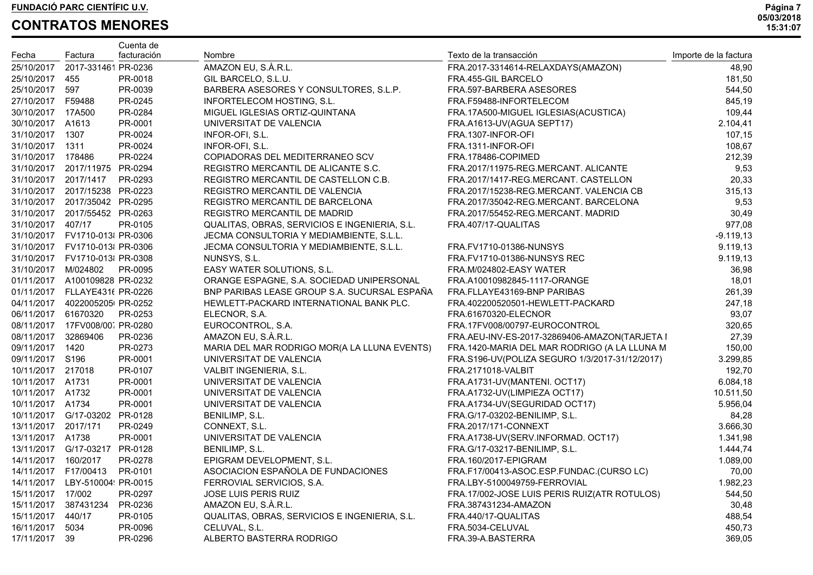|                     |                                     | Cuenta de   |                                               |                                                |                       |
|---------------------|-------------------------------------|-------------|-----------------------------------------------|------------------------------------------------|-----------------------|
| Fecha               | Factura                             | facturación | Nombre                                        | Texto de la transacción                        | Importe de la factura |
|                     | 25/10/2017 2017-331461 PR-0236      |             | AMAZON EU, S.À.R.L.                           | FRA.2017-3314614-RELAXDAYS(AMAZON)             | 48,90                 |
| 25/10/2017 455      |                                     | PR-0018     | GIL BARCELO, S.L.U.                           | FRA.455-GIL BARCELO                            | 181,50                |
| 25/10/2017 597      |                                     | PR-0039     | BARBERA ASESORES Y CONSULTORES, S.L.P.        | FRA.597-BARBERA ASESORES                       | 544,50                |
| 27/10/2017 F59488   |                                     | PR-0245     | INFORTELECOM HOSTING, S.L.                    | FRA.F59488-INFORTELECOM                        | 845,19                |
| 30/10/2017 17A500   |                                     | PR-0284     | MIGUEL IGLESIAS ORTIZ-QUINTANA                | FRA.17A500-MIGUEL IGLESIAS(ACUSTICA)           | 109,44                |
| 30/10/2017 A1613    |                                     | PR-0001     | UNIVERSITAT DE VALENCIA                       | FRA.A1613-UV(AGUA SEPT17)                      | 2.104,41              |
| 31/10/2017 1307     |                                     | PR-0024     | INFOR-OFI, S.L.                               | FRA.1307-INFOR-OFI                             | 107,15                |
| 31/10/2017 1311     |                                     | PR-0024     | INFOR-OFI, S.L.                               | FRA.1311-INFOR-OFI                             | 108,67                |
| 31/10/2017 178486   |                                     | PR-0224     | COPIADORAS DEL MEDITERRANEO SCV               | FRA.178486-COPIMED                             | 212,39                |
|                     | 31/10/2017 2017/11975 PR-0294       |             | REGISTRO MERCANTIL DE ALICANTE S.C.           | FRA.2017/11975-REG.MERCANT. ALICANTE           | 9,53                  |
|                     | 31/10/2017 2017/1417 PR-0293        |             | REGISTRO MERCANTIL DE CASTELLON C.B.          | FRA.2017/1417-REG.MERCANT. CASTELLON           | 20,33                 |
|                     | 31/10/2017 2017/15238 PR-0223       |             | REGISTRO MERCANTIL DE VALENCIA                | FRA.2017/15238-REG.MERCANT. VALENCIA CB        | 315,13                |
|                     | 31/10/2017 2017/35042 PR-0295       |             | REGISTRO MERCANTIL DE BARCELONA               | FRA.2017/35042-REG.MERCANT. BARCELONA          | 9,53                  |
|                     | 31/10/2017 2017/55452 PR-0263       |             | REGISTRO MERCANTIL DE MADRID                  | FRA.2017/55452-REG.MERCANT. MADRID             | 30,49                 |
| 31/10/2017 407/17   |                                     | PR-0105     | QUALITAS, OBRAS, SERVICIOS E INGENIERIA, S.L. | FRA.407/17-QUALITAS                            | 977,08                |
|                     | 31/10/2017  FV1710-013  PR-0306     |             | JECMA CONSULTORIA Y MEDIAMBIENTE, S.L.L.      |                                                | $-9.119,13$           |
|                     | 31/10/2017  FV1710-013  PR-0306     |             | JECMA CONSULTORIA Y MEDIAMBIENTE, S.L.L.      | FRA.FV1710-01386-NUNSYS                        | 9.119,13              |
|                     | 31/10/2017  FV1710-013  PR-0308     |             | NUNSYS, S.L.                                  | FRA.FV1710-01386-NUNSYS REC                    | 9.119,13              |
| 31/10/2017 M/024802 |                                     | PR-0095     | EASY WATER SOLUTIONS, S.L.                    | FRA.M/024802-EASY WATER                        | 36,98                 |
|                     | 01/11/2017 A100109828 PR-0232       |             | ORANGE ESPAGNE, S.A. SOCIEDAD UNIPERSONAL     | FRA.A10010982845-1117-ORANGE                   | 18,01                 |
|                     | 01/11/2017 FLLAYE431( PR-0226       |             | BNP PARIBAS LEASE GROUP S.A. SUCURSAL ESPAÑA  | FRA.FLLAYE43169-BNP PARIBAS                    | 261,39                |
|                     | 04/11/2017  4022005205 PR-0252      |             | HEWLETT-PACKARD INTERNATIONAL BANK PLC.       | FRA.402200520501-HEWLETT-PACKARD               | 247,18                |
| 06/11/2017 61670320 |                                     | PR-0253     | ELECNOR, S.A.                                 | FRA.61670320-ELECNOR                           | 93,07                 |
|                     | 08/11/2017 17FV008/00 PR-0280       |             | EUROCONTROL, S.A.                             | FRA.17FV008/00797-EUROCONTROL                  | 320,65                |
| 08/11/2017 32869406 |                                     | PR-0236     | AMAZON EU, S.À.R.L.                           | FRA.AEU-INV-ES-2017-32869406-AMAZON(TARJETA I  | 27,39                 |
| 09/11/2017 1420     |                                     | PR-0273     | MARIA DEL MAR RODRIGO MOR(A LA LLUNA EVENTS)  | FRA.1420-MARIA DEL MAR RODRIGO (A LA LLUNA M   | 150,00                |
| 09/11/2017 S196     |                                     | PR-0001     | UNIVERSITAT DE VALENCIA                       | FRA.S196-UV(POLIZA SEGURO 1/3/2017-31/12/2017) | 3.299,85              |
| 10/11/2017 217018   |                                     | PR-0107     | VALBIT INGENIERIA, S.L.                       | FRA.2171018-VALBIT                             | 192,70                |
| 10/11/2017 A1731    |                                     | PR-0001     | UNIVERSITAT DE VALENCIA                       | FRA.A1731-UV(MANTENI. OCT17)                   | 6.084,18              |
| 10/11/2017 A1732    |                                     | PR-0001     | UNIVERSITAT DE VALENCIA                       | FRA.A1732-UV(LIMPIEZA OCT17)                   | 10.511,50             |
| 10/11/2017 A1734    |                                     | PR-0001     | UNIVERSITAT DE VALENCIA                       | FRA.A1734-UV(SEGURIDAD OCT17)                  | 5.956,04              |
|                     | 10/11/2017    G/17-03202    PR-0128 |             | BENILIMP, S.L.                                | FRA.G/17-03202-BENILIMP, S.L.                  | 84,28                 |
| 13/11/2017 2017/171 |                                     | PR-0249     | CONNEXT, S.L.                                 | FRA.2017/171-CONNEXT                           | 3.666,30              |
| 13/11/2017 A1738    |                                     | PR-0001     | UNIVERSITAT DE VALENCIA                       | FRA.A1738-UV(SERV.INFORMAD. OCT17)             | 1.341,98              |
|                     | 13/11/2017    G/17-03217    PR-0128 |             | BENILIMP, S.L.                                | FRA.G/17-03217-BENILIMP, S.L.                  | 1.444,74              |
| 14/11/2017 160/2017 |                                     | PR-0278     | EPIGRAM DEVELOPMENT, S.L.                     | FRA.160/2017-EPIGRAM                           | 1.089,00              |
|                     | 14/11/2017 F17/00413                | PR-0101     | ASOCIACION ESPAÑOLA DE FUNDACIONES            | FRA.F17/00413-ASOC.ESP.FUNDAC.(CURSOLC)        | 70,00                 |
|                     | 14/11/2017 LBY-510004 PR-0015       |             | FERROVIAL SERVICIOS, S.A.                     | FRA.LBY-5100049759-FERROVIAL                   | 1.982,23              |
| 15/11/2017 17/002   |                                     | PR-0297     | <b>JOSE LUIS PERIS RUIZ</b>                   | FRA.17/002-JOSE LUIS PERIS RUIZ(ATR ROTULOS)   | 544,50                |
|                     | 15/11/2017 387431234                | PR-0236     | AMAZON EU, S.À.R.L.                           | FRA.387431234-AMAZON                           | 30,48                 |
| 15/11/2017 440/17   |                                     | PR-0105     | QUALITAS, OBRAS, SERVICIOS E INGENIERIA, S.L. | FRA.440/17-QUALITAS                            | 488,54                |
| 16/11/2017 5034     |                                     | PR-0096     | CELUVAL, S.L.                                 | FRA.5034-CELUVAL                               | 450,73                |
| 17/11/2017 39       |                                     | PR-0296     | ALBERTO BASTERRA RODRIGO                      | FRA.39-A.BASTERRA                              | 369,05                |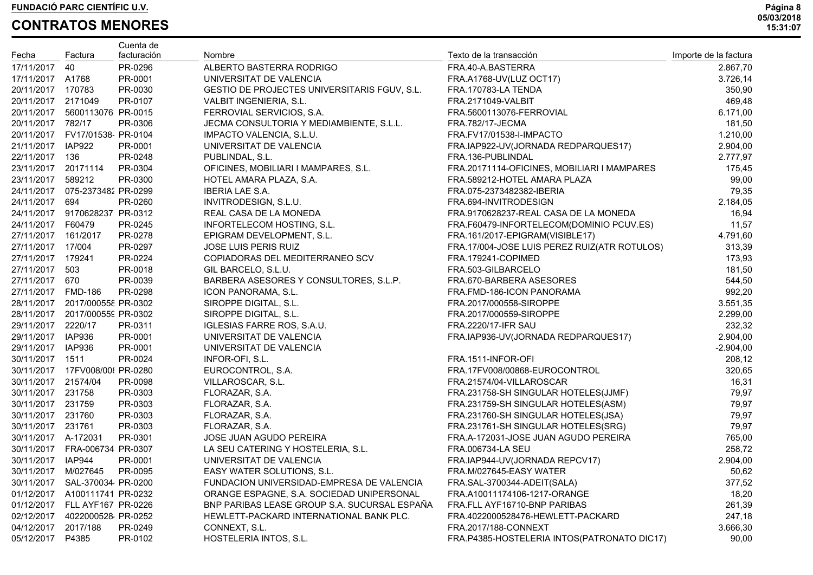|                     |                                 | Cuenta de   |                                              |                                              |                       |
|---------------------|---------------------------------|-------------|----------------------------------------------|----------------------------------------------|-----------------------|
| Fecha               | Factura                         | facturación | Nombre                                       | Texto de la transacción                      | Importe de la factura |
| 17/11/2017 40       |                                 | PR-0296     | ALBERTO BASTERRA RODRIGO                     | FRA.40-A.BASTERRA                            | 2.867,70              |
| 17/11/2017 A1768    |                                 | PR-0001     | UNIVERSITAT DE VALENCIA                      | FRA.A1768-UV(LUZ OCT17)                      | 3.726,14              |
| 20/11/2017 170783   |                                 | PR-0030     | GESTIO DE PROJECTES UNIVERSITARIS FGUV, S.L. | FRA.170783-LA TENDA                          | 350,90                |
| 20/11/2017 2171049  |                                 | PR-0107     | VALBIT INGENIERIA, S.L.                      | FRA.2171049-VALBIT                           | 469,48                |
|                     | 20/11/2017 5600113076 PR-0015   |             | FERROVIAL SERVICIOS, S.A.                    | FRA.5600113076-FERROVIAL                     | 6.171,00              |
| 20/11/2017 782/17   |                                 | PR-0306     | JECMA CONSULTORIA Y MEDIAMBIENTE, S.L.L.     | <b>FRA.782/17-JECMA</b>                      | 181,50                |
|                     | 20/11/2017  FV17/01538  PR-0104 |             | IMPACTO VALENCIA, S.L.U.                     | FRA.FV17/01538-I-IMPACTO                     | 1.210,00              |
| 21/11/2017 IAP922   |                                 | PR-0001     | UNIVERSITAT DE VALENCIA                      | FRA.IAP922-UV(JORNADA REDPARQUES17)          | 2.904,00              |
| 22/11/2017 136      |                                 | PR-0248     | PUBLINDAL, S.L.                              | FRA.136-PUBLINDAL                            | 2.777,97              |
| 23/11/2017 20171114 |                                 | PR-0304     | OFICINES, MOBILIARI I MAMPARES, S.L.         | FRA.20171114-OFICINES, MOBILIARI I MAMPARES  | 175,45                |
| 23/11/2017 589212   |                                 | PR-0300     | HOTEL AMARA PLAZA, S.A.                      | FRA.589212-HOTEL AMARA PLAZA                 | 99,00                 |
|                     | 24/11/2017 075-2373482 PR-0299  |             | IBERIA LAE S.A.                              | FRA.075-2373482382-IBERIA                    | 79,35                 |
| 24/11/2017 694      |                                 | PR-0260     | INVITRODESIGN, S.L.U.                        | FRA.694-INVITRODESIGN                        | 2.184,05              |
|                     | 24/11/2017 9170628237 PR-0312   |             | REAL CASA DE LA MONEDA                       | FRA.9170628237-REAL CASA DE LA MONEDA        | 16,94                 |
| 24/11/2017 F60479   |                                 | PR-0245     | INFORTELECOM HOSTING, S.L.                   | FRA.F60479-INFORTELECOM(DOMINIO PCUV.ES)     | 11,57                 |
| 27/11/2017 161/2017 |                                 | PR-0278     | EPIGRAM DEVELOPMENT, S.L.                    | FRA.161/2017-EPIGRAM(VISIBLE17)              | 4.791,60              |
| 27/11/2017 17/004   |                                 | PR-0297     | <b>JOSE LUIS PERIS RUIZ</b>                  | FRA.17/004-JOSE LUIS PEREZ RUIZ(ATR ROTULOS) | 313,39                |
| 27/11/2017 179241   |                                 | PR-0224     | COPIADORAS DEL MEDITERRANEO SCV              | FRA.179241-COPIMED                           | 173,93                |
| 27/11/2017 503      |                                 | PR-0018     | GIL BARCELO, S.L.U.                          | FRA.503-GILBARCELO                           | 181,50                |
| 27/11/2017 670      |                                 | PR-0039     | BARBERA ASESORES Y CONSULTORES, S.L.P.       | FRA.670-BARBERA ASESORES                     | 544,50                |
| 27/11/2017 FMD-186  |                                 | PR-0298     | ICON PANORAMA, S.L.                          | FRA.FMD-186-ICON PANORAMA                    | 992,20                |
|                     | 28/11/2017 2017/000558 PR-0302  |             | SIROPPE DIGITAL, S.L.                        | FRA.2017/000558-SIROPPE                      | 3.551,35              |
|                     | 28/11/2017 2017/000559 PR-0302  |             | SIROPPE DIGITAL, S.L.                        | FRA.2017/000559-SIROPPE                      | 2.299,00              |
| 29/11/2017 2220/17  |                                 | PR-0311     | IGLESIAS FARRE ROS, S.A.U.                   | <b>FRA.2220/17-IFR SAU</b>                   | 232,32                |
| 29/11/2017 IAP936   |                                 | PR-0001     | UNIVERSITAT DE VALENCIA                      | FRA.IAP936-UV(JORNADA REDPARQUES17)          | 2.904,00              |
| 29/11/2017 IAP936   |                                 | PR-0001     | UNIVERSITAT DE VALENCIA                      |                                              | $-2.904,00$           |
| 30/11/2017 1511     |                                 | PR-0024     | INFOR-OFI, S.L.                              | FRA.1511-INFOR-OFI                           | 208,12                |
|                     | 30/11/2017 17FV008/00 PR-0280   |             | EUROCONTROL, S.A.                            | FRA.17FV008/00868-EUROCONTROL                | 320,65                |
| 30/11/2017 21574/04 |                                 | PR-0098     | VILLAROSCAR, S.L.                            | FRA.21574/04-VILLAROSCAR                     | 16,31                 |
| 30/11/2017 231758   |                                 | PR-0303     | FLORAZAR, S.A.                               | FRA.231758-SH SINGULAR HOTELES(JJMF)         | 79,97                 |
| 30/11/2017 231759   |                                 | PR-0303     | FLORAZAR, S.A.                               | FRA.231759-SH SINGULAR HOTELES(ASM)          | 79,97                 |
| 30/11/2017 231760   |                                 | PR-0303     | FLORAZAR, S.A.                               | FRA.231760-SH SINGULAR HOTELES(JSA)          | 79,97                 |
| 30/11/2017 231761   |                                 | PR-0303     | FLORAZAR, S.A.                               | FRA.231761-SH SINGULAR HOTELES(SRG)          | 79,97                 |
| 30/11/2017 A-172031 |                                 | PR-0301     | JOSE JUAN AGUDO PEREIRA                      | FRA.A-172031-JOSE JUAN AGUDO PEREIRA         | 765,00                |
|                     | 30/11/2017 FRA-006734 PR-0307   |             | LA SEU CATERING Y HOSTELERIA, S.L.           | FRA.006734-LA SEU                            | 258,72                |
| 30/11/2017 IAP944   |                                 | PR-0001     | UNIVERSITAT DE VALENCIA                      | FRA.IAP944-UV(JORNADA REPCV17)               | 2.904,00              |
|                     | 30/11/2017 M/027645 PR-0095     |             | EASY WATER SOLUTIONS, S.L.                   | FRA.M/027645-EASY WATER                      | 50,62                 |
| 30/11/2017          | SAL-370034 PR-0200              |             | FUNDACION UNIVERSIDAD-EMPRESA DE VALENCIA    | FRA.SAL-3700344-ADEIT(SALA)                  | 377,52                |
|                     | 01/12/2017 A100111741 PR-0232   |             | ORANGE ESPAGNE, S.A. SOCIEDAD UNIPERSONAL    | FRA.A10011174106-1217-ORANGE                 | 18,20                 |
|                     | 01/12/2017 FLL AYF167 PR-0226   |             | BNP PARIBAS LEASE GROUP S.A. SUCURSAL ESPAÑA | FRA.FLL AYF16710-BNP PARIBAS                 | 261,39                |
|                     | 02/12/2017  4022000528 PR-0252  |             | HEWLETT-PACKARD INTERNATIONAL BANK PLC.      | FRA.4022000528476-HEWLETT-PACKARD            | 247,18                |
| 04/12/2017          | 2017/188                        | PR-0249     | CONNEXT, S.L.                                | FRA.2017/188-CONNEXT                         | 3.666,30              |
| 05/12/2017          | P4385                           | PR-0102     | HOSTELERIA INTOS, S.L.                       | FRA.P4385-HOSTELERIA INTOS(PATRONATO DIC17)  | 90,00                 |